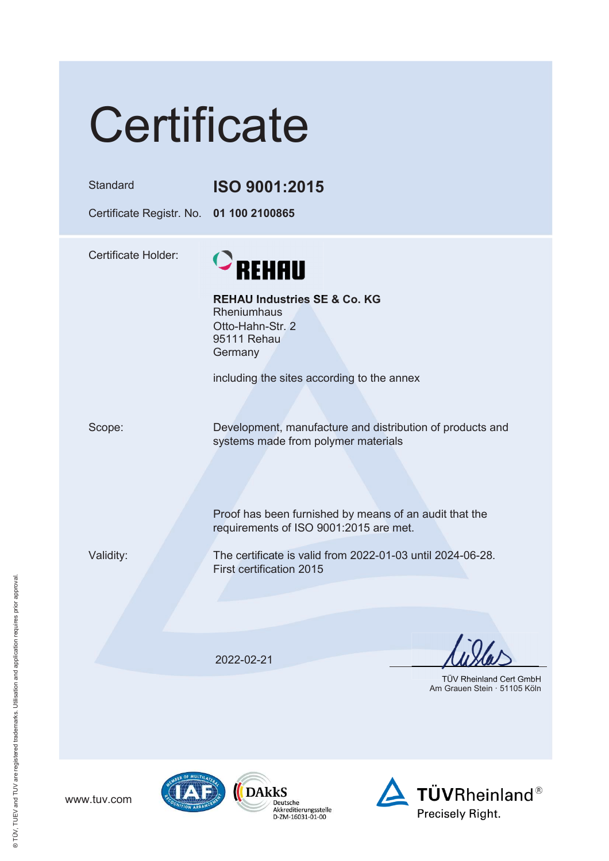| Certificate                                         |                                                                                                                                                                                                      |
|-----------------------------------------------------|------------------------------------------------------------------------------------------------------------------------------------------------------------------------------------------------------|
| Standard<br>Certificate Registr. No. 01 100 2100865 | ISO 9001:2015                                                                                                                                                                                        |
| <b>Certificate Holder:</b>                          | $\circ$ REHAU<br><b>REHAU Industries SE &amp; Co. KG</b><br><b>Rheniumhaus</b><br>Otto-Hahn-Str. 2<br>95111 Rehau<br>Germany<br>including the sites according to the annex                           |
| Scope:                                              | Development, manufacture and distribution of products and<br>systems made from polymer materials<br>Proof has been furnished by means of an audit that the<br>requirements of ISO 9001:2015 are met. |
| Validity:                                           | The certificate is valid from 2022-01-03 until 2024-06-28.<br>First certification 2015                                                                                                               |
|                                                     | 2022-02-21<br>TÜV Rheinland Cert GmbH<br>Am Grauen Stein · 51105 Köln                                                                                                                                |

www.tuv.com



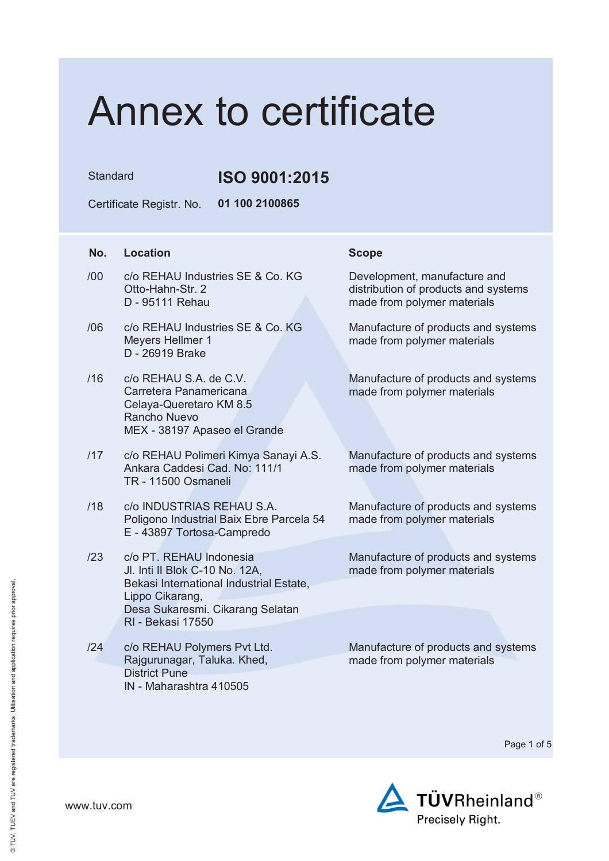Standard **ISO 9001:2015** 

Certificate Registr. No. **01 100 2100865**

### **No.** Location **Scope**

- /00 c/o REHAU Industries SE & Co. KG Otto-Hahn-Str. 2 D - 95111 Rehau
- /06 c/o REHAU Industries SE & Co. KG Meyers Hellmer 1 D - 26919 Brake
- $/16$   $C/O$  RFHAU SA de C.V. Carretera Panamericana Celaya-Queretaro KM 8.5 Rancho Nuevo MEX - 38197 Apaseo el Grande
- /17 c/o REHAU Polimeri Kimya Sanayi A.S. Ankara Caddesi Cad. No: 111/1 TR - 11500 Osmaneli
- /18 c/o INDUSTRIAS REHAU S.A. Poligono Industrial Baix Ebre Parcela 54 E - 43897 Tortosa-Campredo
- /23 c/o PT. REHAU Indonesia Jl. Inti II Blok C-10 No. 12A, Bekasi International Industrial Estate, Lippo Cikarang, Desa Sukaresmi. Cikarang Selatan RI - Bekasi 17550
- /24 c/o REHAU Polymers Pvt Ltd. Rajgurunagar, Taluka. Khed, District Pune IN - Maharashtra 410505

Development, manufacture and distribution of products and systems made from polymer materials

Manufacture of products and systems made from polymer materials

Manufacture of products and systems made from polymer materials

Manufacture of products and systems made from polymer materials

Manufacture of products and systems made from polymer materials

Manufacture of products and systems made from polymer materials

Manufacture of products and systems made from polymer materials

Page 1 of 5

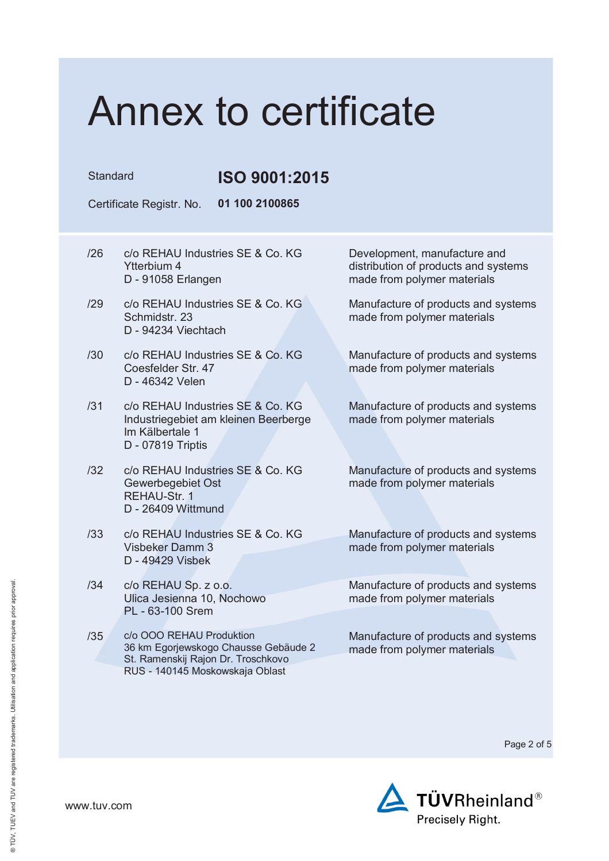Standard **ISO 9001:2015** 

Certificate Registr. No. **01 100 2100865**

- /26 c/o REHAU Industries SE & Co. KG Ytterbium 4 D - 91058 Erlangen
- /29 c/o REHAU Industries SE & Co. KG Schmidstr. 23 D - 94234 Viechtach
- /30 c/o REHAU Industries SE & Co. KG Coesfelder Str. 47 D - 46342 Velen
- /31 c/o REHAU Industries SE & Co. KG Industriegebiet am kleinen Beerberge Im Kälbertale 1 D - 07819 Triptis
- /32 c/o REHAU Industries SE & Co. KG Gewerbegebiet Ost REHAU-Str. 1 D - 26409 Wittmund
- /33 c/o REHAU Industries SE & Co. KG Visbeker Damm 3 D - 49429 Visbek
- /34 c/o REHAU Sp. z o.o. Ulica Jesienna 10, Nochowo PL - 63-100 Srem
- /35 c/o OOO REHAU Produktion 36 km Egorjewskogo Chausse Gebäude 2 St. Ramenskij Rajon Dr. Troschkovo RUS - 140145 Moskowskaja Oblast

Development, manufacture and distribution of products and systems made from polymer materials

Manufacture of products and systems made from polymer materials

Manufacture of products and systems made from polymer materials

Manufacture of products and systems made from polymer materials

Manufacture of products and systems made from polymer materials

Manufacture of products and systems made from polymer materials

Manufacture of products and systems made from polymer materials

Manufacture of products and systems made from polymer materials

Page 2 of 5

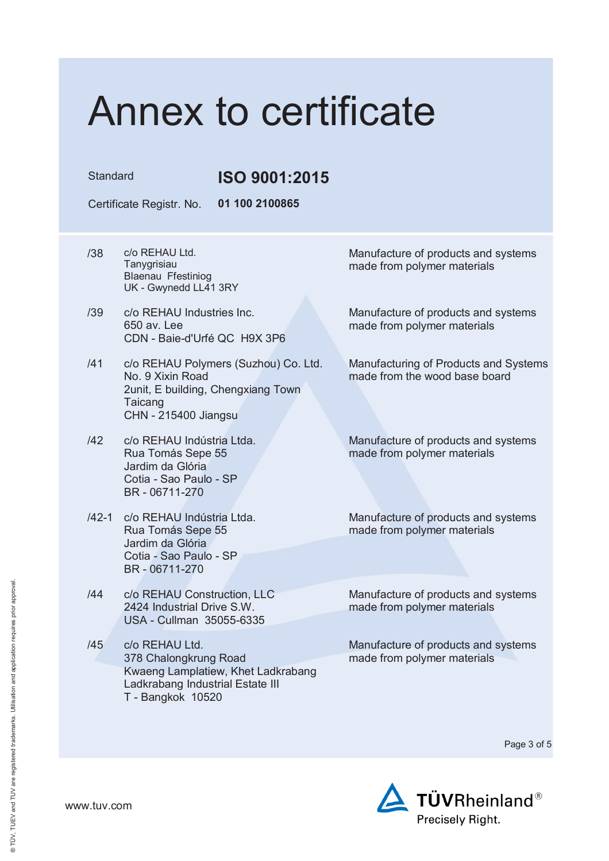Standard **ISO 9001:2015**

Certificate Registr. No. **01 100 2100865**

- /38 c/o REHAU Ltd. **Tanvgrisiau** Blaenau Ffestiniog UK - Gwynedd LL41 3RY
- /39 c/o REHAU Industries Inc. 650 av. Lee CDN - Baie-d'Urfé QC H9X 3P6
- /41 c/o REHAU Polymers (Suzhou) Co. Ltd. No. 9 Xixin Road 2unit, E building, Chengxiang Town **Taicang** CHN - 215400 Jiangsu
- /42 c/o REHAU Indústria Ltda. Rua Tomás Sepe 55 Jardim da Glória Cotia - Sao Paulo - SP BR - 06711-270
- /42-1 c/o REHAU Indústria Ltda. Rua Tomás Sepe 55 Jardim da Glória Cotia - Sao Paulo - SP BR - 06711-270
- /44 c/o REHAU Construction, LLC 2424 Industrial Drive S.W. USA - Cullman 35055-6335
- /45 c/o REHAU Ltd. 378 Chalongkrung Road Kwaeng Lamplatiew, Khet Ladkrabang Ladkrabang Industrial Estate III T - Bangkok 10520

Manufacture of products and systems made from polymer materials

Manufacture of products and systems made from polymer materials

Manufacturing of Products and Systems made from the wood base board

Manufacture of products and systems made from polymer materials

Manufacture of products and systems made from polymer materials

Manufacture of products and systems made from polymer materials

Manufacture of products and systems made from polymer materials

Page 3 of 5

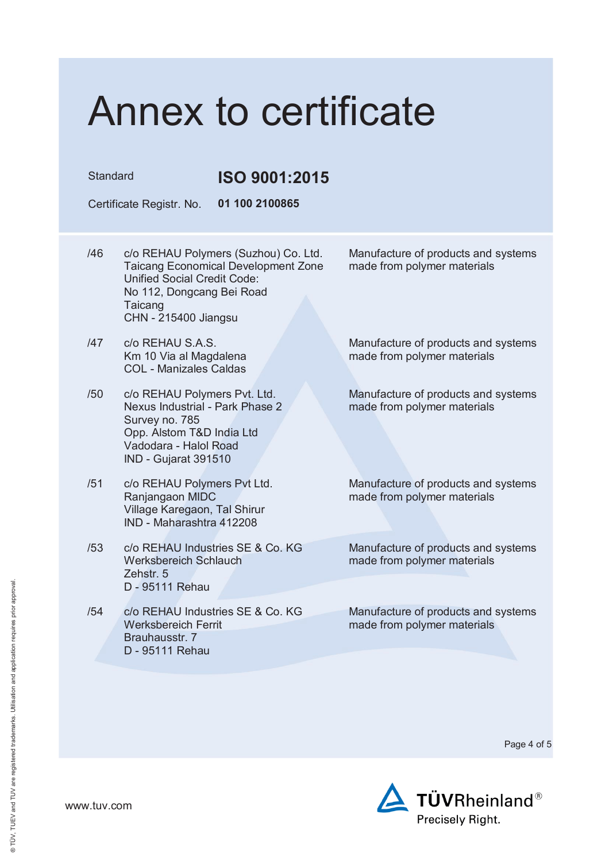Standard **ISO 9001:2015**

Certificate Registr. No. **01 100 2100865**

- /46 c/o REHAU Polymers (Suzhou) Co. Ltd. Taicang Economical Development Zone Unified Social Credit Code: No 112, Dongcang Bei Road Taicang CHN - 215400 Jiangsu
- /47 c/o REHAU S.A.S. Km 10 Via al Magdalena COL - Manizales Caldas
- /50 c/o REHAU Polymers Pvt. Ltd. Nexus Industrial - Park Phase 2 Survey no. 785 Opp. Alstom T&D India Ltd Vadodara - Halol Road IND - Gujarat 391510
- /51 c/o REHAU Polymers Pvt Ltd. Ranjangaon MIDC Village Karegaon, Tal Shirur IND - Maharashtra 412208
- /53 c/o REHAU Industries SE & Co. KG Werksbereich Schlauch Zehstr. 5 D - 95111 Rehau
- /54 c/o REHAU Industries SE & Co. KG Werksbereich Ferrit Brauhausstr. 7 D - 95111 Rehau

Manufacture of products and systems made from polymer materials

Manufacture of products and systems made from polymer materials

Manufacture of products and systems made from polymer materials

Manufacture of products and systems made from polymer materials

Manufacture of products and systems made from polymer materials

Manufacture of products and systems made from polymer materials

Page 4 of 5